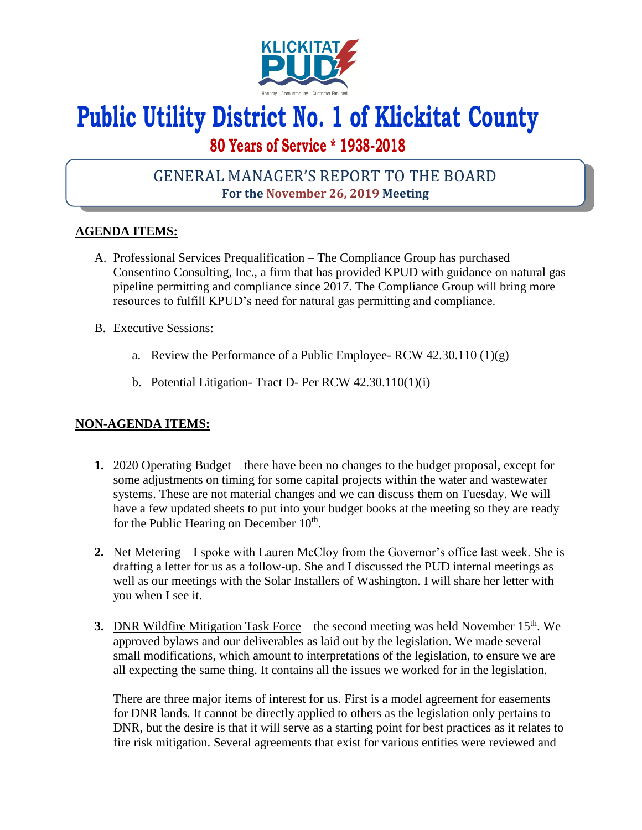

# **Public Utility District No. 1 of Klickitat County**

# **80 Years of Service \* 1938-2018**

## GENERAL MANAGER'S REPORT TO THE BOARD **For the November 26, 2019 Meeting**

### **AGENDA ITEMS:**

- A. Professional Services Prequalification The Compliance Group has purchased Consentino Consulting, Inc., a firm that has provided KPUD with guidance on natural gas pipeline permitting and compliance since 2017. The Compliance Group will bring more resources to fulfill KPUD's need for natural gas permitting and compliance.
- B. Executive Sessions:
	- a. Review the Performance of a Public Employee- RCW  $42.30.110(1)(g)$
	- b. Potential Litigation- Tract D- Per RCW 42.30.110(1)(i)

#### **NON-AGENDA ITEMS:**

- **1.** 2020 Operating Budget there have been no changes to the budget proposal, except for some adjustments on timing for some capital projects within the water and wastewater systems. These are not material changes and we can discuss them on Tuesday. We will have a few updated sheets to put into your budget books at the meeting so they are ready for the Public Hearing on December 10<sup>th</sup>.
- **2.** Net Metering I spoke with Lauren McCloy from the Governor's office last week. She is drafting a letter for us as a follow-up. She and I discussed the PUD internal meetings as well as our meetings with the Solar Installers of Washington. I will share her letter with you when I see it.
- **3.** DNR Wildfire Mitigation Task Force the second meeting was held November 15<sup>th</sup>. We approved bylaws and our deliverables as laid out by the legislation. We made several small modifications, which amount to interpretations of the legislation, to ensure we are all expecting the same thing. It contains all the issues we worked for in the legislation.

There are three major items of interest for us. First is a model agreement for easements for DNR lands. It cannot be directly applied to others as the legislation only pertains to DNR, but the desire is that it will serve as a starting point for best practices as it relates to fire risk mitigation. Several agreements that exist for various entities were reviewed and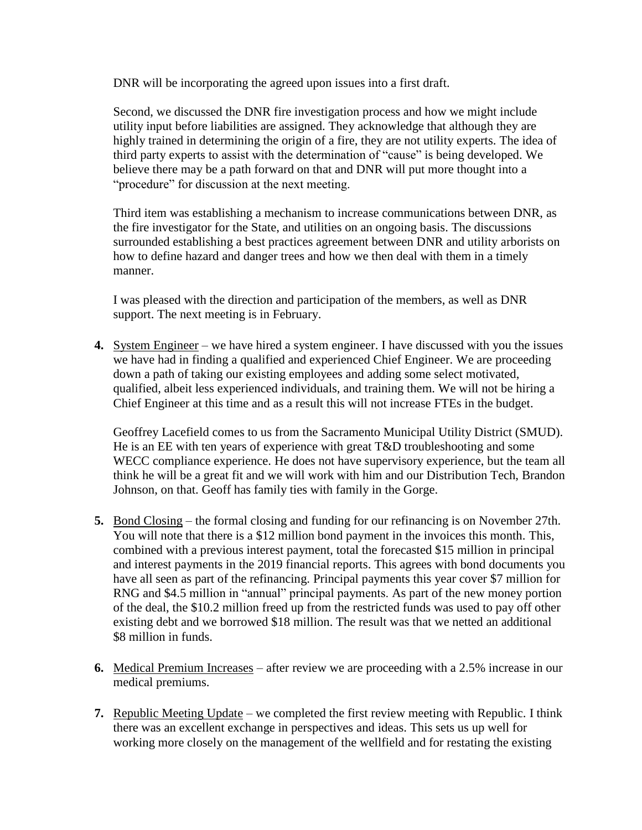DNR will be incorporating the agreed upon issues into a first draft.

Second, we discussed the DNR fire investigation process and how we might include utility input before liabilities are assigned. They acknowledge that although they are highly trained in determining the origin of a fire, they are not utility experts. The idea of third party experts to assist with the determination of "cause" is being developed. We believe there may be a path forward on that and DNR will put more thought into a "procedure" for discussion at the next meeting.

Third item was establishing a mechanism to increase communications between DNR, as the fire investigator for the State, and utilities on an ongoing basis. The discussions surrounded establishing a best practices agreement between DNR and utility arborists on how to define hazard and danger trees and how we then deal with them in a timely manner.

I was pleased with the direction and participation of the members, as well as DNR support. The next meeting is in February.

**4.** System Engineer – we have hired a system engineer. I have discussed with you the issues we have had in finding a qualified and experienced Chief Engineer. We are proceeding down a path of taking our existing employees and adding some select motivated, qualified, albeit less experienced individuals, and training them. We will not be hiring a Chief Engineer at this time and as a result this will not increase FTEs in the budget.

Geoffrey Lacefield comes to us from the Sacramento Municipal Utility District (SMUD). He is an EE with ten years of experience with great T&D troubleshooting and some WECC compliance experience. He does not have supervisory experience, but the team all think he will be a great fit and we will work with him and our Distribution Tech, Brandon Johnson, on that. Geoff has family ties with family in the Gorge.

- **5.** Bond Closing the formal closing and funding for our refinancing is on November 27th. You will note that there is a \$12 million bond payment in the invoices this month. This, combined with a previous interest payment, total the forecasted \$15 million in principal and interest payments in the 2019 financial reports. This agrees with bond documents you have all seen as part of the refinancing. Principal payments this year cover \$7 million for RNG and \$4.5 million in "annual" principal payments. As part of the new money portion of the deal, the \$10.2 million freed up from the restricted funds was used to pay off other existing debt and we borrowed \$18 million. The result was that we netted an additional \$8 million in funds.
- **6.** Medical Premium Increases after review we are proceeding with a 2.5% increase in our medical premiums.
- **7.** Republic Meeting Update we completed the first review meeting with Republic. I think there was an excellent exchange in perspectives and ideas. This sets us up well for working more closely on the management of the wellfield and for restating the existing